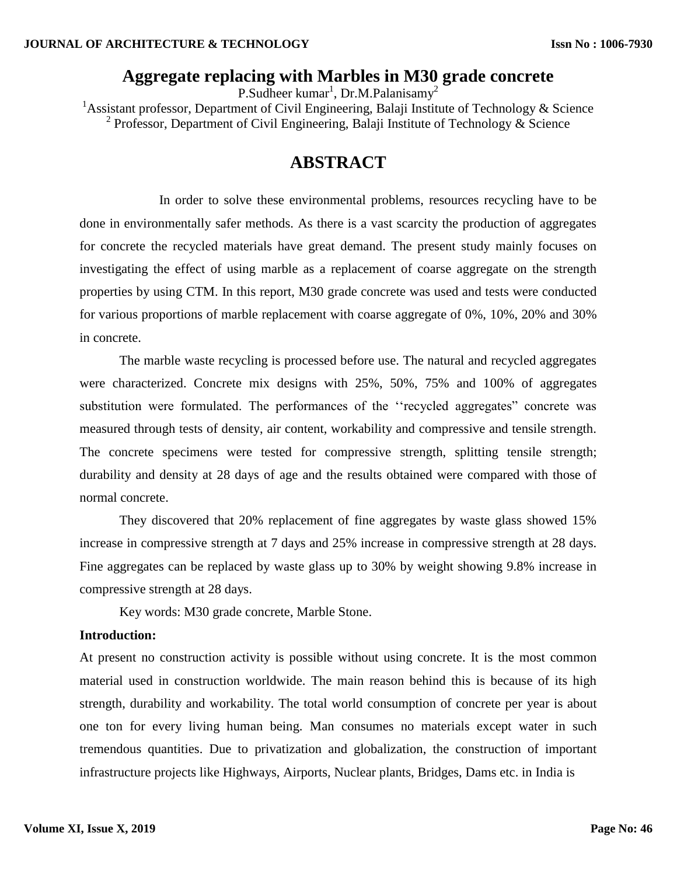## **Aggregate replacing with Marbles in M30 grade concrete**

P.Sudheer kumar<sup>1</sup>, Dr.M.Palanisamy<sup>2</sup> <sup>1</sup>Assistant professor, Department of Civil Engineering, Balaji Institute of Technology & Science <sup>2</sup> Professor, Department of Civil Engineering, Balaji Institute of Technology & Science

# **ABSTRACT**

In order to solve these environmental problems, resources recycling have to be done in environmentally safer methods. As there is a vast scarcity the production of aggregates for concrete the recycled materials have great demand. The present study mainly focuses on investigating the effect of using marble as a replacement of coarse aggregate on the strength properties by using CTM. In this report, M30 grade concrete was used and tests were conducted for various proportions of marble replacement with coarse aggregate of 0%, 10%, 20% and 30% in concrete.

The marble waste recycling is processed before use. The natural and recycled aggregates were characterized. Concrete mix designs with 25%, 50%, 75% and 100% of aggregates substitution were formulated. The performances of the ""recycled aggregates" concrete was measured through tests of density, air content, workability and compressive and tensile strength. The concrete specimens were tested for compressive strength, splitting tensile strength; durability and density at 28 days of age and the results obtained were compared with those of normal concrete.

They discovered that 20% replacement of fine aggregates by waste glass showed 15% increase in compressive strength at 7 days and 25% increase in compressive strength at 28 days. Fine aggregates can be replaced by waste glass up to 30% by weight showing 9.8% increase in compressive strength at 28 days.

Key words: M30 grade concrete, Marble Stone.

#### **Introduction:**

At present no construction activity is possible without using concrete. It is the most common material used in construction worldwide. The main reason behind this is because of its high strength, durability and workability. The total world consumption of concrete per year is about one ton for every living human being. Man consumes no materials except water in such tremendous quantities. Due to privatization and globalization, the construction of important infrastructure projects like Highways, Airports, Nuclear plants, Bridges, Dams etc. in India is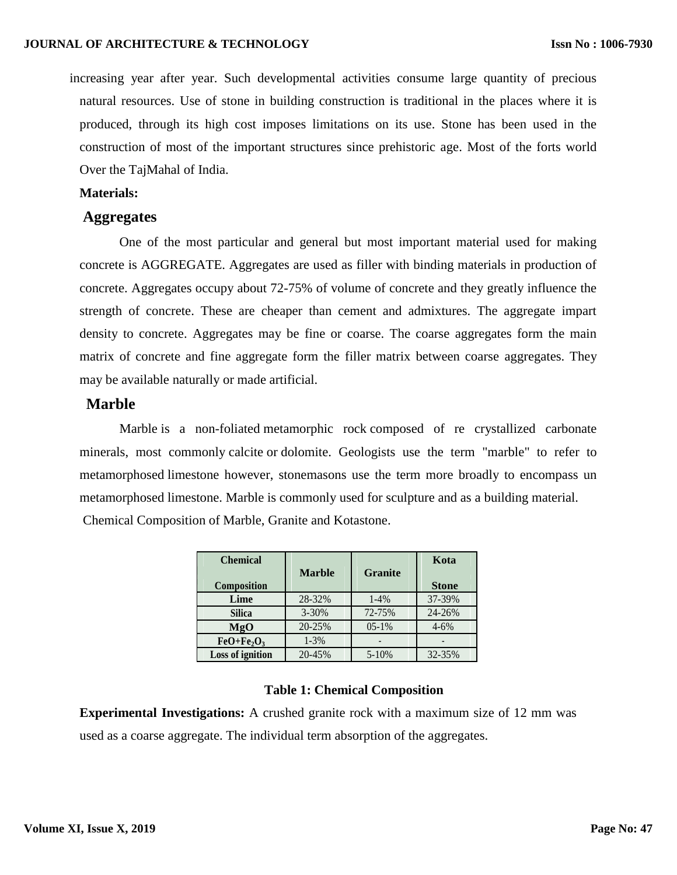increasing year after year. Such developmental activities consume large quantity of precious natural resources. Use of stone in building construction is traditional in the places where it is produced, through its high cost imposes limitations on its use. Stone has been used in the construction of most of the important structures since prehistoric age. Most of the forts world Over the TajMahal of India.

#### **Materials:**

#### **Aggregates**

One of the most particular and general but most important material used for making concrete is AGGREGATE. Aggregates are used as filler with binding materials in production of concrete. Aggregates occupy about 72-75% of volume of concrete and they greatly influence the strength of concrete. These are cheaper than cement and admixtures. The aggregate impart density to concrete. Aggregates may be fine or coarse. The coarse aggregates form the main matrix of concrete and fine aggregate form the filler matrix between coarse aggregates. They may be available naturally or made artificial.

### **Marble**

Marble is a non[-foliated](https://en.wikipedia.org/wiki/Foliation_(geology)) [metamorphic rock](https://en.wikipedia.org/wiki/Metamorphic_rock) composed of re crystallized carbonate minerals, most commonly [calcite](https://en.wikipedia.org/wiki/Calcite) or [dolomite.](https://en.wikipedia.org/wiki/Dolomite) Geologists use the term "marble" to refer to metamorphosed [limestone](https://en.wikipedia.org/wiki/Limestone) however, stonemasons use the term more broadly to encompass un metamorphosed limestone. Marble is commonly used for [sculpture](https://en.wikipedia.org/wiki/Marble_sculpture) and as a [building](https://en.wikipedia.org/wiki/Architecture) material. Chemical Composition of Marble, Granite and Kotastone.

| <b>Chemical</b>    |               |                | Kota         |
|--------------------|---------------|----------------|--------------|
| <b>Composition</b> | <b>Marble</b> | <b>Granite</b> | <b>Stone</b> |
| Lime               | 28-32%        | $1 - 4\%$      | 37-39%       |
| <b>Silica</b>      | $3 - 30%$     | 72-75%         | 24-26%       |
| MgO                | 20-25%        | $05-1%$        | $4 - 6%$     |
| $FeO + Fe2O3$      | $1 - 3\%$     |                |              |
| Loss of ignition   | 20-45%        | $5 - 10%$      | 32-35%       |

#### **Table 1: Chemical Composition**

**Experimental Investigations:** A crushed granite rock with a maximum size of 12 mm was used as a coarse aggregate. The individual term absorption of the aggregates.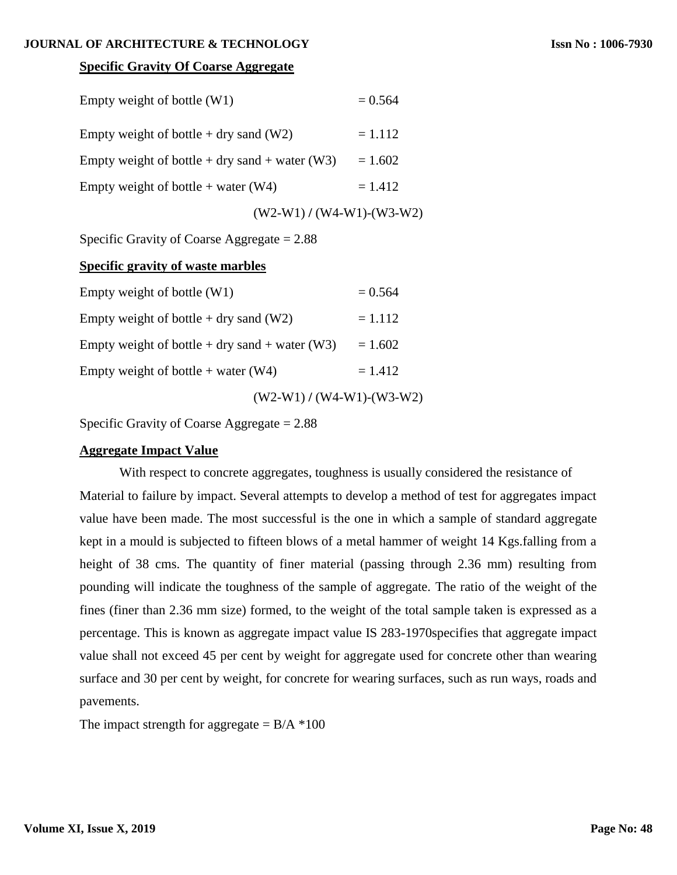#### **JOURNAL OF ARCHITECTURE & TECHNOLOGY**

## **Specific Gravity Of Coarse Aggregate**

| Empty weight of bottle $(W1)$                  | $= 0.564$                     |
|------------------------------------------------|-------------------------------|
| Empty weight of bottle $+$ dry sand (W2)       | $= 1.112$                     |
| Empty weight of bottle + dry sand + water (W3) | $= 1.602$                     |
| Empty weight of bottle + water $(W4)$          | $= 1.412$                     |
|                                                | $(W2-W1) / (W4-W1) - (W3-W2)$ |

Specific Gravity of Coarse Aggregate = 2.88

## **Specific gravity of waste marbles**

|                                                | $(W2-W1) / (W4-W1) - (W3-W2)$ |           |
|------------------------------------------------|-------------------------------|-----------|
| Empty weight of bottle + water $(W4)$          |                               | $= 1.412$ |
| Empty weight of bottle + dry sand + water (W3) |                               | $= 1.602$ |
| Empty weight of bottle $+$ dry sand (W2)       |                               | $= 1.112$ |
| Empty weight of bottle $(W1)$                  |                               | $= 0.564$ |

Specific Gravity of Coarse Aggregate = 2.88

## **Aggregate Impact Value**

With respect to concrete aggregates, toughness is usually considered the resistance of Material to failure by impact. Several attempts to develop a method of test for aggregates impact value have been made. The most successful is the one in which a sample of standard aggregate kept in a mould is subjected to fifteen blows of a metal hammer of weight 14 Kgs.falling from a height of 38 cms. The quantity of finer material (passing through 2.36 mm) resulting from pounding will indicate the toughness of the sample of aggregate. The ratio of the weight of the fines (finer than 2.36 mm size) formed, to the weight of the total sample taken is expressed as a percentage. This is known as aggregate impact value IS 283-1970specifies that aggregate impact value shall not exceed 45 per cent by weight for aggregate used for concrete other than wearing surface and 30 per cent by weight, for concrete for wearing surfaces, such as run ways, roads and pavements.

The impact strength for aggregate  $= B/A *100$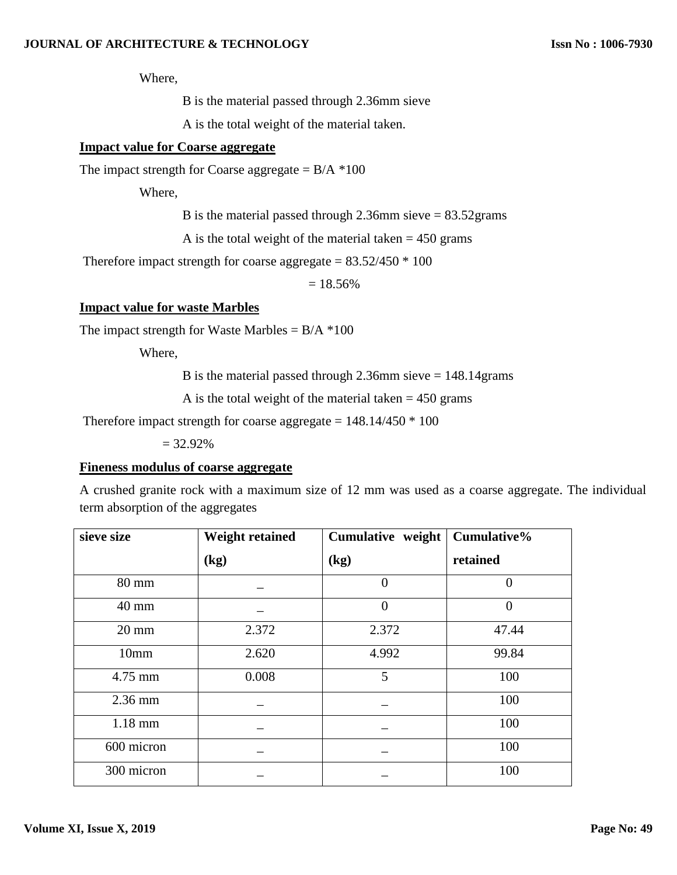Where,

B is the material passed through 2.36mm sieve

A is the total weight of the material taken.

## **Impact value for Coarse aggregate**

The impact strength for Coarse aggregate =  $B/A$  \*100

Where,

B is the material passed through 2.36mm sieve  $= 83.52$  grams

A is the total weight of the material taken  $= 450$  grams

Therefore impact strength for coarse aggregate =  $83.52/450 * 100$ 

 $= 18.56\%$ 

#### **Impact value for waste Marbles**

The impact strength for Waste Marbles =  $B/A$  \*100

Where,

B is the material passed through 2.36mm sieve = 148.14grams

A is the total weight of the material taken  $= 450$  grams

Therefore impact strength for coarse aggregate =  $148.14/450 * 100$ 

 $= 32.92\%$ 

#### **Fineness modulus of coarse aggregate**

A crushed granite rock with a maximum size of 12 mm was used as a coarse aggregate. The individual term absorption of the aggregates

| sieve size      | <b>Weight retained</b> | Cumulative weight | Cumulative% |
|-----------------|------------------------|-------------------|-------------|
|                 | (kg)                   | (kg)              | retained    |
| 80 mm           |                        | $\overline{0}$    |             |
| 40 mm           |                        | $\overline{0}$    | 0           |
| $20 \text{ mm}$ | 2.372                  | 2.372             | 47.44       |
| 10mm            | 2.620                  | 4.992             | 99.84       |
| 4.75 mm         | 0.008                  | 5                 | 100         |
| $2.36$ mm       |                        |                   | 100         |
| $1.18$ mm       |                        |                   | 100         |
| 600 micron      |                        |                   | 100         |
| 300 micron      |                        |                   | 100         |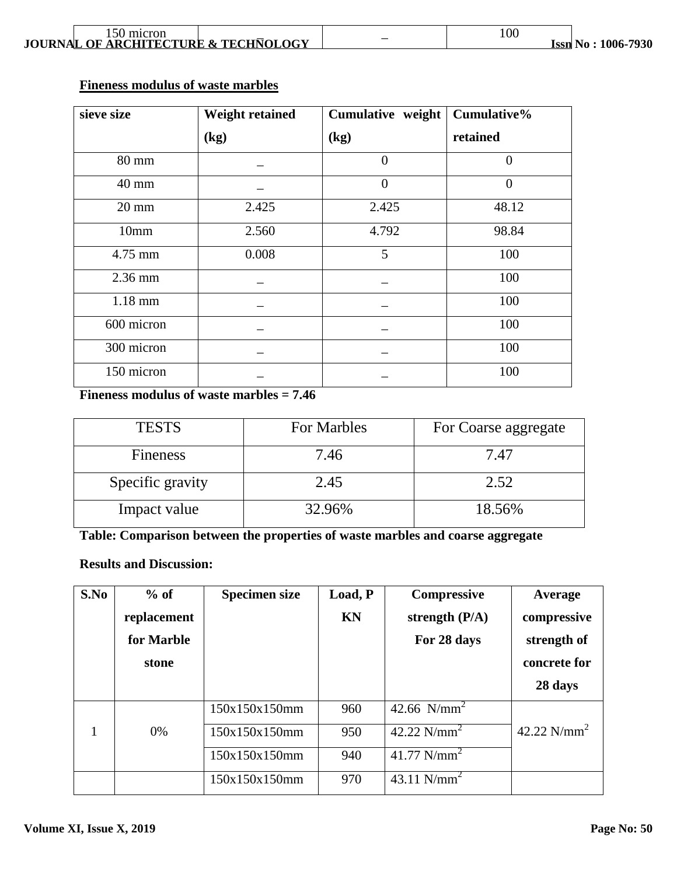| 150 micron<br><b>JOURNAL OF ARCHITECTURE &amp; TECHNOLOGY</b> |  |  | <b>Issn No: 1006-7930</b> |
|---------------------------------------------------------------|--|--|---------------------------|
|---------------------------------------------------------------|--|--|---------------------------|

## **Fineness modulus of waste marbles**

| sieve size      | <b>Weight retained</b> | Cumulative weight | Cumulative%    |
|-----------------|------------------------|-------------------|----------------|
|                 | (kg)                   | (kg)              | retained       |
| 80 mm           |                        | $\theta$          | $\theta$       |
| 40 mm           |                        | $\overline{0}$    | $\overline{0}$ |
| $20 \text{ mm}$ | 2.425                  | 2.425             | 48.12          |
| 10mm            | 2.560                  | 4.792             | 98.84          |
| 4.75 mm         | 0.008                  | 5                 | 100            |
| $2.36$ mm       |                        |                   | 100            |
| $1.18$ mm       |                        |                   | 100            |
| 600 micron      |                        |                   | 100            |
| 300 micron      |                        |                   | 100            |
| 150 micron      |                        |                   | 100            |

**Fineness modulus of waste marbles = 7.46**

| <b>TESTS</b>     | For Marbles | For Coarse aggregate |
|------------------|-------------|----------------------|
| Fineness         | 7.46        | 7.47                 |
| Specific gravity | 2.45        | 2.52                 |
| Impact value     | 32.96%      | 18.56%               |

**Table: Comparison between the properties of waste marbles and coarse aggregate**

## **Results and Discussion:**

| S.No | $%$ of      | <b>Specimen size</b> | Load, P   | <b>Compressive</b> | Average        |
|------|-------------|----------------------|-----------|--------------------|----------------|
|      | replacement |                      | <b>KN</b> | strength $(P/A)$   | compressive    |
|      | for Marble  |                      |           | For 28 days        | strength of    |
|      | stone       |                      |           |                    | concrete for   |
|      |             |                      |           |                    | 28 days        |
|      |             | 150x150x150mm        | 960       | 42.66 $N/mm^2$     |                |
|      | 0%          | 150x150x150mm        | 950       | 42.22 $N/mm^2$     | 42.22 $N/mm^2$ |
|      |             | 150x150x150mm        | 940       | 41.77 $N/mm^2$     |                |
|      |             | 150x150x150mm        | 970       | 43.11 $N/mm^2$     |                |